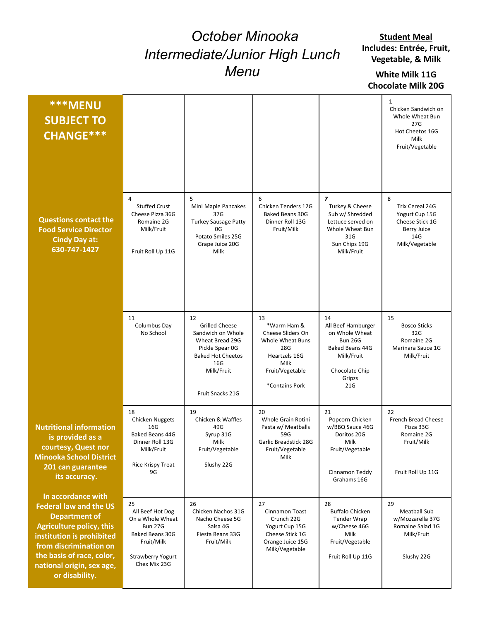## October Minooka Intermediate/Junior High Lunch Menu

## White Milk 11G Chocolate Milk 20G

|                                                                                                                                                                                                                                                   |                                                                                                                                    | October Minooka<br>Intermediate/Junior High Lunch<br>Menu                                                                                                   | <b>Student Meal</b><br>Includes: Entrée, Fruit,<br>Vegetable, & Milk<br>White Milk 11G<br><b>Chocolate Milk 20G</b>             |                                                                                                                                    |                                                                                                          |
|---------------------------------------------------------------------------------------------------------------------------------------------------------------------------------------------------------------------------------------------------|------------------------------------------------------------------------------------------------------------------------------------|-------------------------------------------------------------------------------------------------------------------------------------------------------------|---------------------------------------------------------------------------------------------------------------------------------|------------------------------------------------------------------------------------------------------------------------------------|----------------------------------------------------------------------------------------------------------|
| <b>***MENU</b><br><b>SUBJECT TO</b><br>CHANGE ***                                                                                                                                                                                                 |                                                                                                                                    |                                                                                                                                                             |                                                                                                                                 |                                                                                                                                    | 1<br>Chicken Sandwich on<br>Whole Wheat Bun<br>27G<br>Hot Cheetos 16G<br>Milk<br>Fruit/Vegetable         |
| <b>Questions contact the</b><br><b>Food Service Director</b><br><b>Cindy Day at:</b><br>630-747-1427                                                                                                                                              | 4<br><b>Stuffed Crust</b><br>Cheese Pizza 36G<br>Romaine 2G<br>Milk/Fruit<br>Fruit Roll Up 11G                                     | 5<br>Mini Maple Pancakes<br>37G<br><b>Turkey Sausage Patty</b><br>0G<br>Potato Smiles 25G<br>Grape Juice 20G<br>Milk                                        | 6<br>Chicken Tenders 12G<br>Baked Beans 30G<br>Dinner Roll 13G<br>Fruit/Milk                                                    | $\overline{z}$<br>Turkey & Cheese<br>Sub w/ Shredded<br>Lettuce served on<br>Whole Wheat Bun<br>31G<br>Sun Chips 19G<br>Milk/Fruit | 8<br>Trix Cereal 24G<br>Yogurt Cup 15G<br>Cheese Stick 1G<br><b>Berry Juice</b><br>14G<br>Milk/Vegetable |
|                                                                                                                                                                                                                                                   | 11<br>Columbus Day<br>No School                                                                                                    | 12<br><b>Grilled Cheese</b><br>Sandwich on Whole<br>Wheat Bread 29G<br>Pickle Spear 0G<br><b>Baked Hot Cheetos</b><br>16G<br>Milk/Fruit<br>Fruit Snacks 21G | 13<br>*Warm Ham &<br>Cheese Sliders On<br>Whole Wheat Buns<br>28G<br>Heartzels 16G<br>Milk<br>Fruit/Vegetable<br>*Contains Pork | 14<br>All Beef Hamburger<br>on Whole Wheat<br><b>Bun 26G</b><br>Baked Beans 44G<br>Milk/Fruit<br>Chocolate Chip<br>Gripzs<br>21G   | 15<br><b>Bosco Sticks</b><br>32G<br>Romaine 2G<br>Marinara Sauce 1G<br>Milk/Fruit                        |
| <b>Nutritional information</b><br>is provided as a<br>courtesy, Quest nor<br><b>Minooka School District</b><br>201 can guarantee<br>its accuracy.                                                                                                 | 18<br><b>Chicken Nuggets</b><br>16G<br>Baked Beans 44G<br>Dinner Roll 13G<br>Milk/Fruit<br>Rice Krispy Treat<br>9G                 | 19<br>Chicken & Waffles<br>49G<br>Syrup 31G<br>Milk<br>Fruit/Vegetable<br>Slushy 22G                                                                        | 20<br>Whole Grain Rotini<br>Pasta w/ Meatballs<br>59G<br>Garlic Breadstick 28G<br>Fruit/Vegetable<br>Milk                       | 21<br>Popcorn Chicken<br>w/BBQ Sauce 46G<br>Doritos 20G<br>Milk<br>Fruit/Vegetable<br>Cinnamon Teddy<br>Grahams 16G                | 22<br>French Bread Cheese<br>Pizza 33G<br>Romaine 2G<br>Fruit/Milk<br>Fruit Roll Up 11G                  |
| In accordance with<br><b>Federal law and the US</b><br><b>Department of</b><br><b>Agriculture policy, this</b><br>institution is prohibited<br>from discrimination on<br>the basis of race, color,<br>national origin, sex age,<br>or disability. | 25<br>All Beef Hot Dog<br>On a Whole Wheat<br><b>Bun 27G</b><br>Baked Beans 30G<br>Fruit/Milk<br>Strawberry Yogurt<br>Chex Mix 23G | 26<br>Chicken Nachos 31G<br>Nacho Cheese 5G<br>Salsa 4G<br>Fiesta Beans 33G<br>Fruit/Milk                                                                   | 27<br>Cinnamon Toast<br>Crunch 22G<br>Yogurt Cup 15G<br>Cheese Stick 1G<br>Orange Juice 15G<br>Milk/Vegetable                   | 28<br><b>Buffalo Chicken</b><br>Tender Wrap<br>w/Cheese 46G<br>Milk<br>Fruit/Vegetable<br>Fruit Roll Up 11G                        | 29<br>Meatball Sub<br>w/Mozzarella 37G<br>Romaine Salad 1G<br>Milk/Fruit<br>Slushy 22G                   |